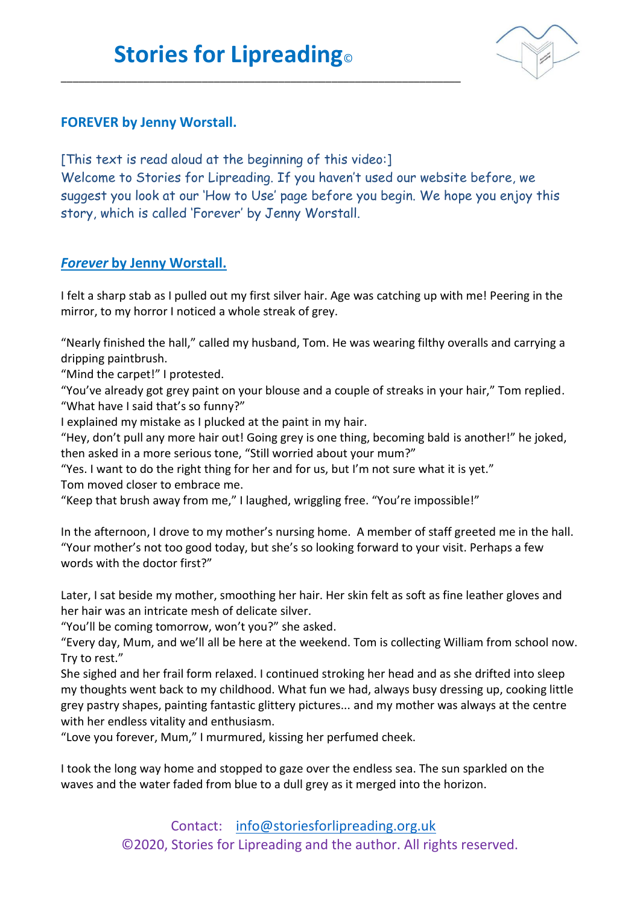\_\_\_\_\_\_\_\_\_\_\_\_\_\_\_\_\_\_\_\_\_\_\_\_\_\_\_\_\_\_\_\_\_\_\_\_\_\_\_\_\_\_\_\_\_\_\_\_\_\_\_\_\_\_\_\_\_\_\_\_\_\_\_\_\_\_\_\_



## **FOREVER by Jenny Worstall.**

[This text is read aloud at the beginning of this video:] Welcome to Stories for Lipreading. If you haven't used our website before, we suggest you look at our 'How to Use' page before you begin. We hope you enjoy this story, which is called 'Forever' by Jenny Worstall.

## *Forever* **by Jenny Worstall.**

I felt a sharp stab as I pulled out my first silver hair. Age was catching up with me! Peering in the mirror, to my horror I noticed a whole streak of grey.

"Nearly finished the hall," called my husband, Tom. He was wearing filthy overalls and carrying a dripping paintbrush.

"Mind the carpet!" I protested.

"You've already got grey paint on your blouse and a couple of streaks in your hair," Tom replied. "What have I said that's so funny?"

I explained my mistake as I plucked at the paint in my hair.

"Hey, don't pull any more hair out! Going grey is one thing, becoming bald is another!" he joked, then asked in a more serious tone, "Still worried about your mum?"

"Yes. I want to do the right thing for her and for us, but I'm not sure what it is yet." Tom moved closer to embrace me.

"Keep that brush away from me," I laughed, wriggling free. "You're impossible!"

In the afternoon, I drove to my mother's nursing home. A member of staff greeted me in the hall. "Your mother's not too good today, but she's so looking forward to your visit. Perhaps a few words with the doctor first?"

Later, I sat beside my mother, smoothing her hair. Her skin felt as soft as fine leather gloves and her hair was an intricate mesh of delicate silver.

"You'll be coming tomorrow, won't you?" she asked.

"Every day, Mum, and we'll all be here at the weekend. Tom is collecting William from school now. Try to rest."

She sighed and her frail form relaxed. I continued stroking her head and as she drifted into sleep my thoughts went back to my childhood. What fun we had, always busy dressing up, cooking little grey pastry shapes, painting fantastic glittery pictures... and my mother was always at the centre with her endless vitality and enthusiasm.

"Love you forever, Mum," I murmured, kissing her perfumed cheek.

I took the long way home and stopped to gaze over the endless sea. The sun sparkled on the waves and the water faded from blue to a dull grey as it merged into the horizon.

> Contact: [info@storiesforlipreading.org.uk](mailto:info@storiesforlipreading.org.uk) ©2020, Stories for Lipreading and the author. All rights reserved.